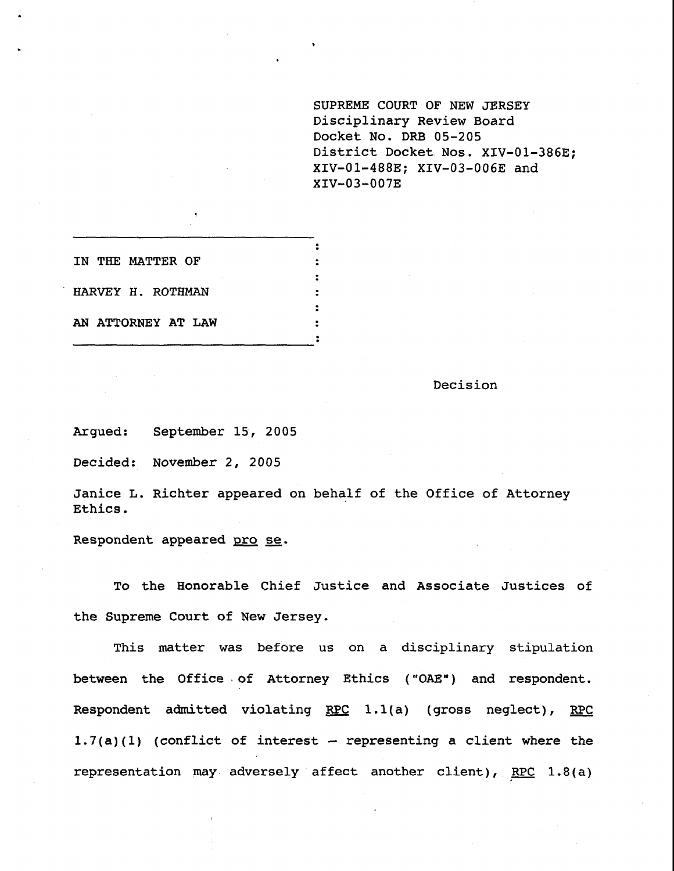**SUPREME COURT OF NEW JERSEY** Disciplinary Review Board Docket No. DRB 05-205 District Docket Nos. XIV-01-386E; XIV-01-488E; XIV-03-006E and XIV-03-007E

| IN THE MATTER OF   |  |
|--------------------|--|
|                    |  |
| HARVEY H. ROTHMAN  |  |
|                    |  |
| AN ATTORNEY AT LAW |  |
|                    |  |

Decision

Argued: September 15, 2005

Decided: November 2, 2005

Janice L. Richter appeared on behalf of the Office of Attorney Ethics.

Respondent appeared pro se.

To the Honorable Chief Justice and Associate Justices of the Supreme Court of New Jersey.

This matter was before us on a disciplinary stipulation between the Office of Attorney Ethics ("OAE") and respondent. Respondent admitted violating RPC  $1.1(a)$  (gross neglect), RPC  $1.7(a)(1)$  (conflict of interest -- representing a client where the representation may adversely affect another client), RPC  $1.8(a)$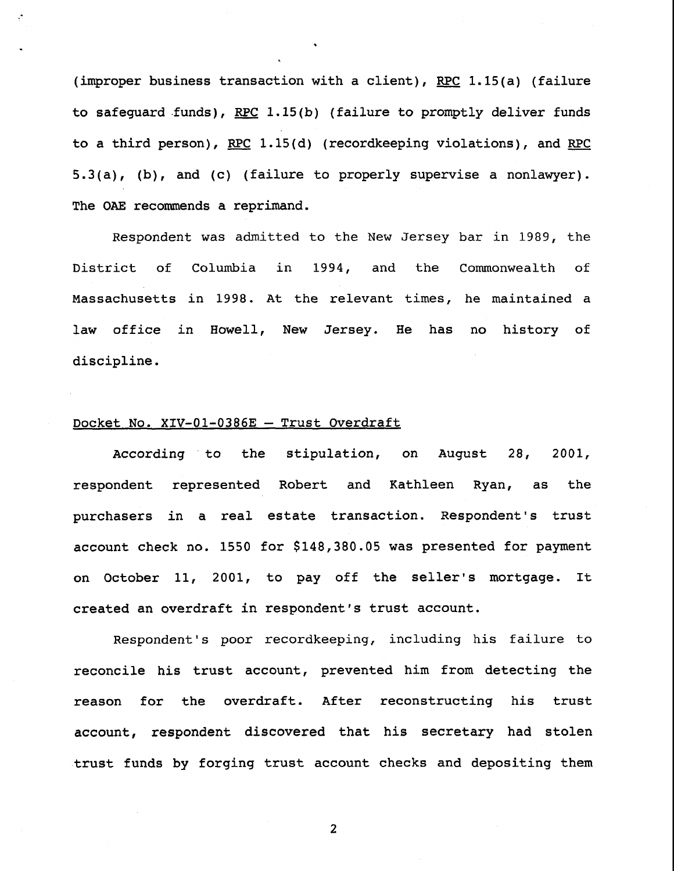(improper business transaction with a client), RPC 1.15(a) (failure to safeguard funds), RPC 1.15(b) (failure to promptly deliver funds to a third person), RPC 1.15(d) (recordkeeping violations), and RPC 5.3(a), (b), and (c) (failure to properly supervise a nonlawyer). The OAE recommends a reprimand.

Respondent was admitted to the New Jersey bar in 1989, the District of Columbia in 1994, and the Commonwealth of Massachusetts in 1998. At the relevant times, he maintained a law office in Howell, New Jersey. He has no history of discipline.

### Docket No. XIV-01-0386E - Trust Overdraft

According to respondent represented Robert and Kathleen Ryan, as the the stipulation, on August 28, 2001, purchasers in a real estate transaction. Respondent's trust account check no. 1550 for \$148,380.05 was presented for payment on October ii, 2001, to pay off the seller's mortgage. It created an overdraft in respondent's trust account.

Respondent's poor recordkeeping, including his failure to reconcile his trust account, prevented him from detecting the reason for the overdraft. After reconstructing his trust account, respondent discovered that his secretary had stolen trust funds by forging trust account checks and depositing them

 $\overline{2}$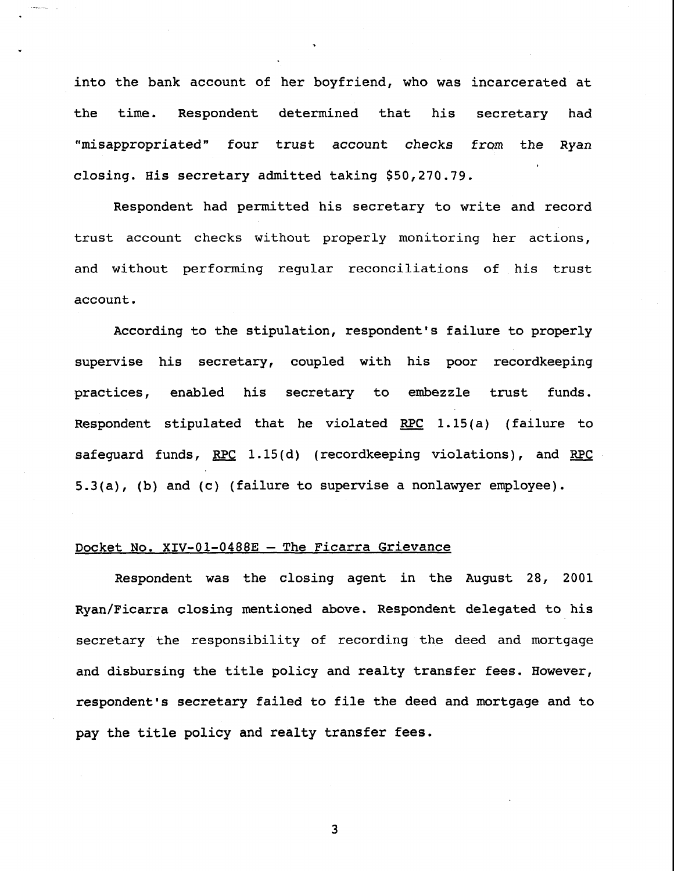into the bank account of her boyfriend, who was incarcerated at the time. Respondent determined that his secretary had "misappropriated" four trust account checks from the Ryan closing. His secretary admitted taking \$50,270.79.

Respondent had permitted his secretary to write and record trust account checks without properly monitoring her actions, and without performing regular reconciliations of his trust account.

According to the stipulation, respondent's failure to properly supervise his secretary, coupled with his poor recordkeeping practices, enabled his secretary to embezzle trust funds. Respondent stipulated that he violated RPC 1.15(a) (failure to safequard funds, RPC 1.15(d) (recordkeeping violations), and RPC 5.3(a), (b) and (c) (failure to supervise a nonlawyer employee).

# Docket No. XIV-01-0488E - The Ficarra Grievance

Respondent was the closing agent in the August 28, 2001 Ryan/Ficarra closing mentioned above. Respondent delegated to his secretary the responsibility of recording the deed and mortgage and disbursing the title policy and realty transfer fees. However, respondent's secretary failed to file the deed and mortgage and to pay the title policy and realty transfer fees.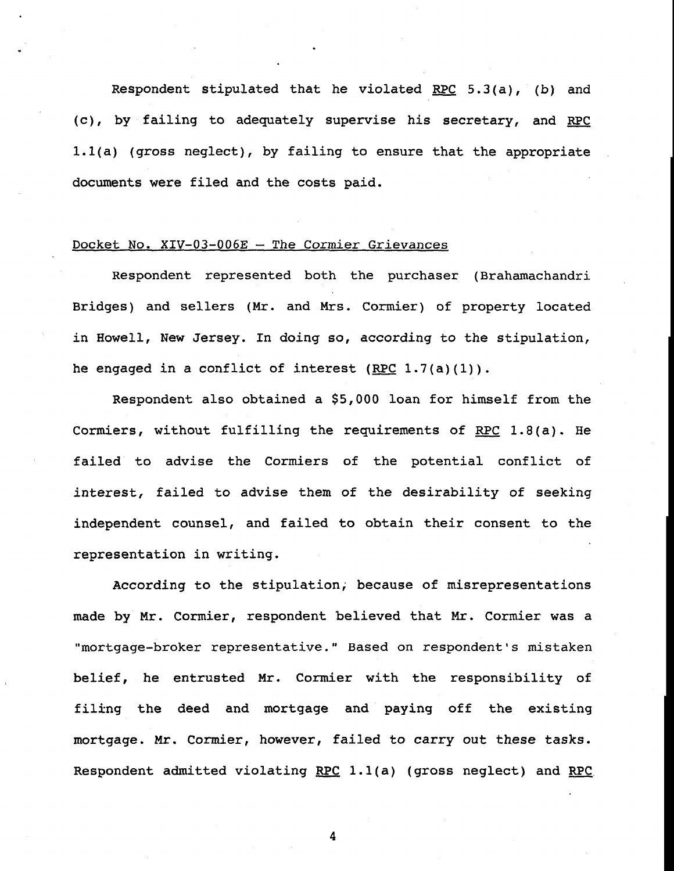Respondent stipulated that he violated RPC  $5.3(a)$ , (b) and (c), by failing to adequately supervise his secretary, and RPC l.l(a) (gross neglect), by failing to ensure that the appropriate documents were filed and the costs paid.

### Docket No. XIV-03-006E - The Cormier Grievances

Respondent represented both the purchaser (Brahamachandri Bridges) and sellers (Mr. and Mrs. Cormier) of property located in Howell, New Jersey. In doing so, according to the stipulation, he engaged in a conflict of interest  $(REC 1.7(a)(1))$ .

Respondent also obtained a \$5,000 loan for himself from the Cormiers, without fulfilling the requirements of RPC 1.8(a). He failed to advise the Cormiers of the potential conflict of interest, failed to advise them of the desirability of seeking independent counsel, and failed to obtain their consent to the representation in writing.

According to the stipulation; because of misrepresentations made by Mr. Cormier, respondent believed that Mr. Cormier was a "mortgage-broker representative." Based on respondent's mistaken belief, he entrusted Mr. Cormier with the responsibility of filing the deed and mortgage and paying off the existing mortgage. Mr. Cormier, however, failed to carry out these tasks. Respondent admitted violating RPC 1.1(a) (gross neglect) and RPC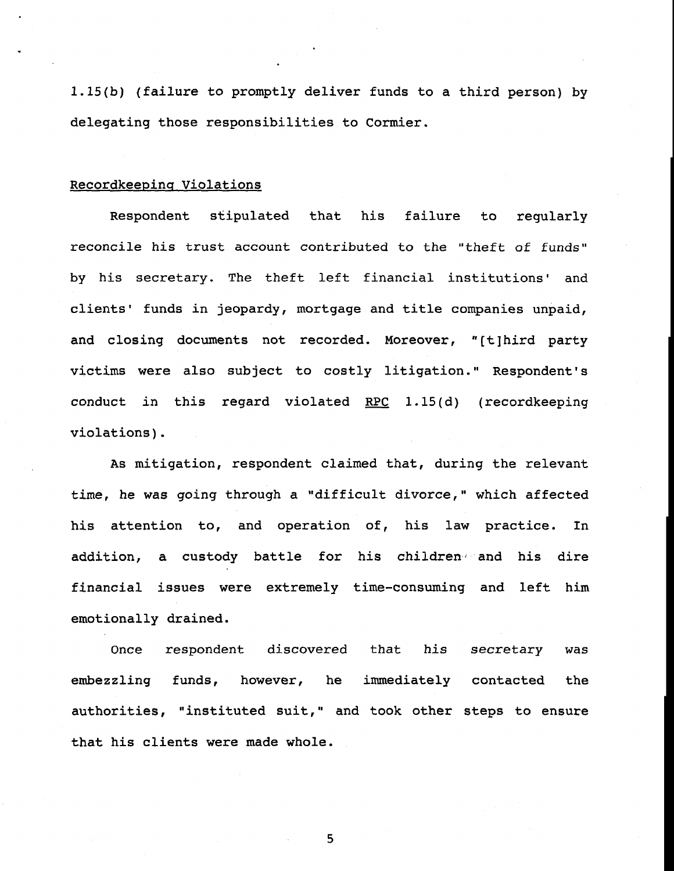1.15(b) (failure to promptly deliver funds to a third person) by delegating those responsibilities to Cormier.

## Recordkeepinq Violations

Respondent stipulated that his failure to regularly reconcile his trust account contributed to the "theft of funds" by his secretary. The theft left financial institutions' and clients' funds in jeopardy, mortgage and title companies unpaid, and closing documents not recorded. Moreover, "[t]hird party victims were also subject to costly litigation." Respondent's conduct in this regard violated RPC 1.15(d) (recordkeeping violations).

As mitigation, respondent claimed that, during the relevant time, he was going through a "difficult divorce," which affected his attention to, and operation of, his law practice. In addition, a custody battle for his children<sub>40</sub> and his dire financial issues were extremely time-consuming and left him emotionally drained.

Once respondent discovered that his secretary was embezzling funds, however, he immediately contacted the authorities, "instituted suit," and took other steps to ensure that his clients were made whole.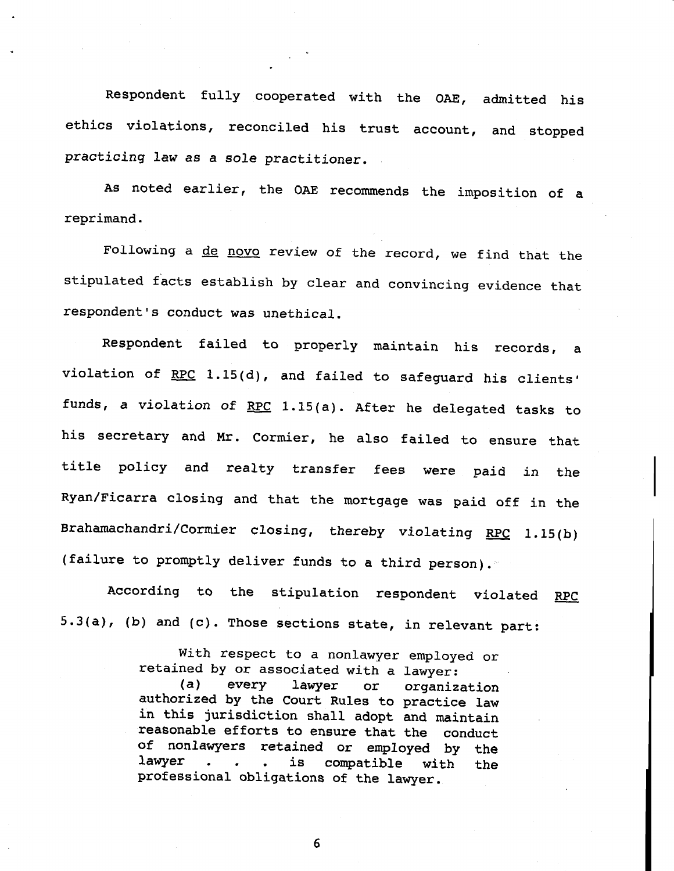Respondent fully cooperated with the OAE, admitted his ethics violations, reconciled his trust account, and stopped practicing law as a sole practitioner.

As noted earlier, the OAE recommends the imposition of a reprimand.

Following a de novo review of the record, we find that the stipulated facts establish by clear and convincing evidence that respondent's conduct was unethical.

Respondent failed to properly maintain his records, a violation of  $RPC$  1.15(d), and failed to safeguard his clients' funds, a violation of RPC 1.15(a). After he delegated tasks to his secretary and Mr. Cormier, he also failed to ensure that title policy and realty transfer fees were paid in the Ryan/Ficarra closing and that the mortgage was paid off in the Brahamachandri/Cormier closing, thereby violating RPC 1.15(b) (failure to promptly deliver funds to a third person).

According to the stipulation respondent violated RPC 5.3(a), (b) and (c). Those sections state, in relevant part:

> With respect to a nonlawyer employed or retained by or associated with a lawyer: (a) every lawyer or organization authorized by the Court Rules to practice law in this jurisdiction shall adopt and maintain reasonable efforts to ensure that the conduct of nonlawyers retained or employed by the lawyer . . . is compatible with the professional obligations of the lawyer.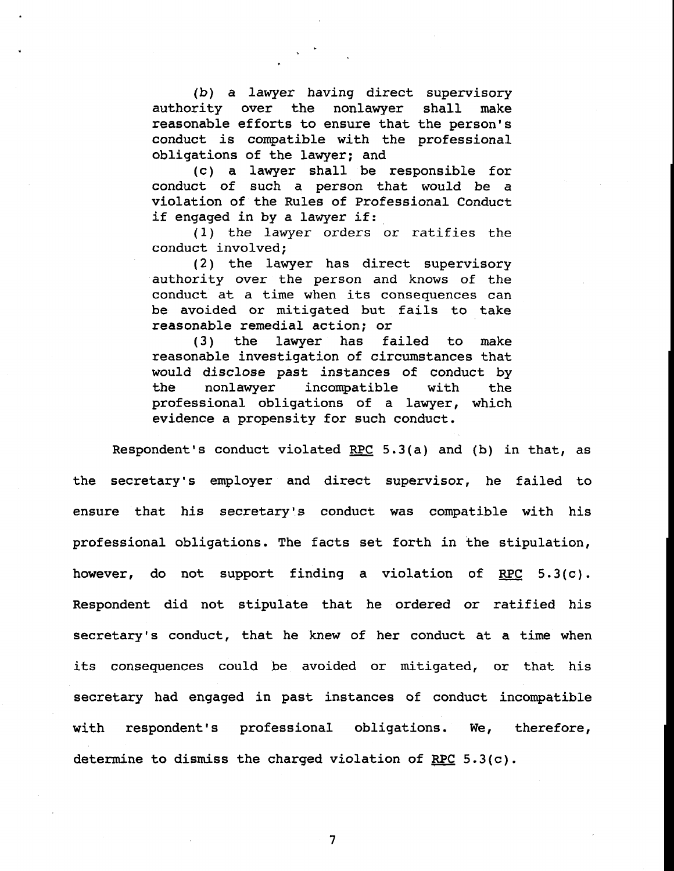(b) a lawyer having direct supervisory authority over the nonlawyer shall make reasonable efforts to ensure that the person's conduct is compatible with the professional obligations of the lawyer; and

(c) a lawyer shall be responsible for conduct of such a person that would be a violation of the Rules of Professional Conduct if engaged in by a lawyer if:

(i) the lawyer orders or ratifies the conduct involved;

(2) the lawyer has direct supervisory authority over the person and knows of the conduct at a time when its consequences can be avoided or mitigated but fails to take reasonable remedial action; or

(3) the lawyer has failed to make reasonable investigation of circumstances that would disclose past instances of conduct by the nonlawyer incompatible with the professional obligations of a lawyer, which evidence a propensity for such conduct.

Respondent's conduct violated RPC 5.3(a) and (b) in that, as the secretary's employer and direct supervisor, he failed to ensure that his secretary's conduct was compatible with his professional obligations. The facts set forth in the stipulation, however, do not support finding a violation of RPC 5.3(c). Respondent did not stipulate that he ordered or ratified his secretary's conduct, that he knew of her conduct at a time when its consequences could be avoided or mitigated, or that his secretary had engaged in past instances of conduct incompatible with respondent's professional obligations. We, therefore, determine to dismiss the charged violation of RPC 5.3(c).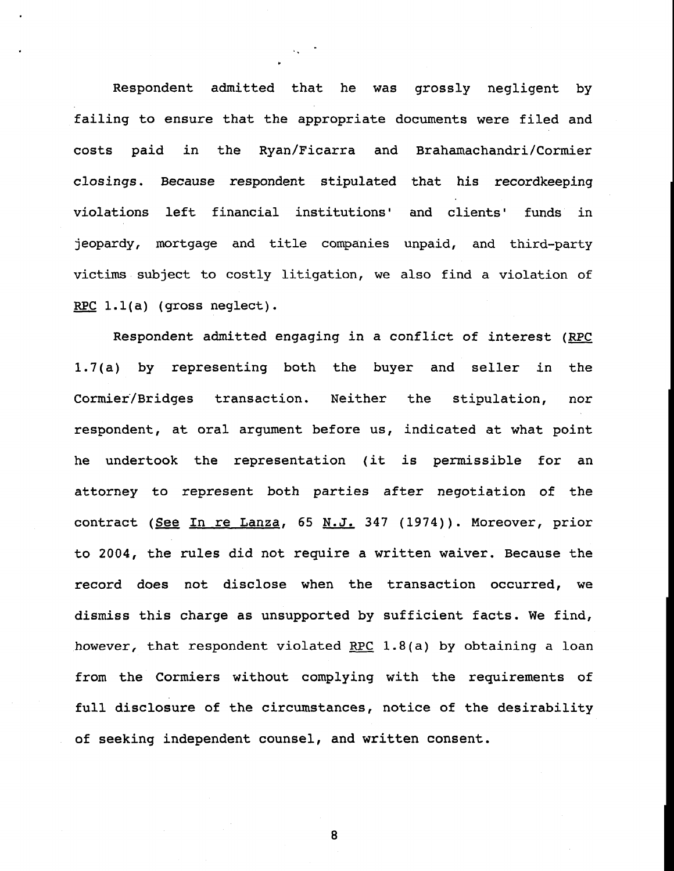Respondent admitted that he was grossly negligent by failing to ensure that the appropriate documents were filed and costs paid in the Ryan/Ficarra and Brahamachandri/Cormier closings. Because respondent stipulated that his recordkeeping violations left financial institutions' and clients' funds in jeopardy, mortgage and title companies unpaid, and third-party victims subject to costly litigation, we also find a violation of RPC  $l.l(a)$  (gross neglect).

Respondent admitted engaging in a conflict of interest (RPC 1.7(a) by representing both the buyer and seller in the Cormier/Bridges transaction. Neither the stipulation, nor respondent, at oral argument before us, indicated at what point he undertook the representation (it is permissible for an attorney to represent both parties after negotiation of the contract (See In re Lanza, 65 N.J. 347 (1974)). Moreover, prior to 2004, the rules did not require a written waiver. Because the record does not disclose when the transaction occurred, we dismiss this charge as unsupported by sufficient facts. We find, however, that respondent violated RPC 1.8(a) by obtaining a loan from the Cormiers without complying with the requirements of full disclosure of the circumstances, notice of the desirability of seeking independent counsel, and written consent.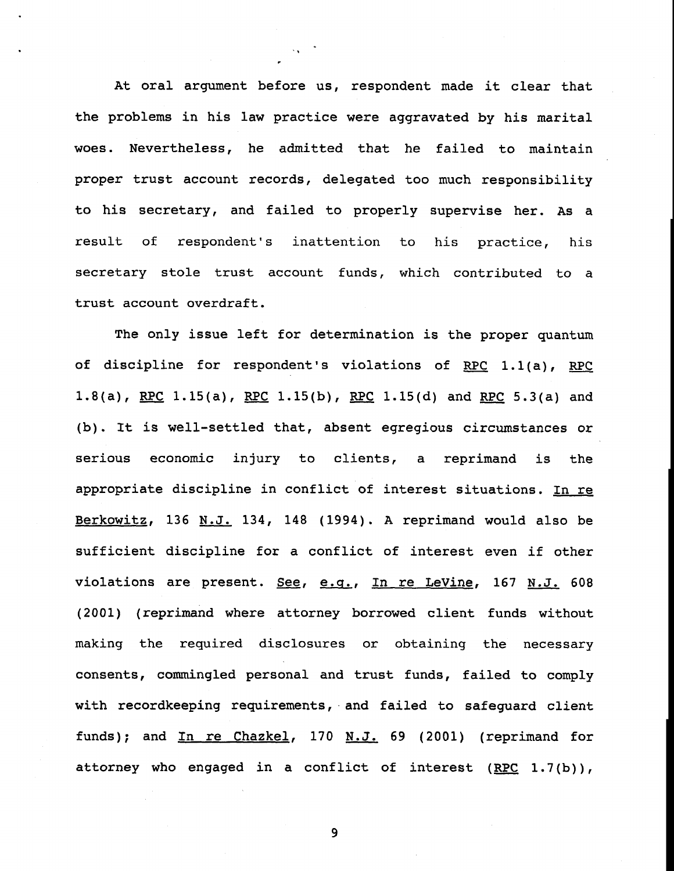At oral argument before us, respondent made it clear that the problems in his law practice were aggravated by his marital woes. Nevertheless, he admitted that he failed to maintain proper trust account records, delegated too much responsibility to his secretary, and failed to properly supervise her. As a result of respondent's inattention to his practice, his secretary stole trust account funds, which contributed to a trust account overdraft.

The only issue left for determination is the proper quantum of discipline for respondent's violations of RPC 1.1(a), RPC 1.8(a), RPC 1.15(a), RPC 1.15(b), RPC 1.15(d) and RPC 5.3(a) and (b). It is well-settled that, absent egregious circumstances or serious economic injury to clients, a reprimand is the appropriate discipline in conflict of interest situations. In re Berkowitz, 136 N.J. 134, 148 (1994). A reprimand would also be sufficient discipline for a conflict of interest even if other violations are present. See, e.g., In re LeVine, 167 N.J. 608 (2001) (reprimand where attorney borrowed client funds without making the required disclosures or obtaining the necessary consents, commingled personal and trust funds, failed to comply with recordkeeping requirements, and failed to safequard client funds); and  $In$  re Chazkel, 170 N.J. 69 (2001) (reprimand for attorney who engaged in a conflict of interest  $(RPC 1.7(b))$ ,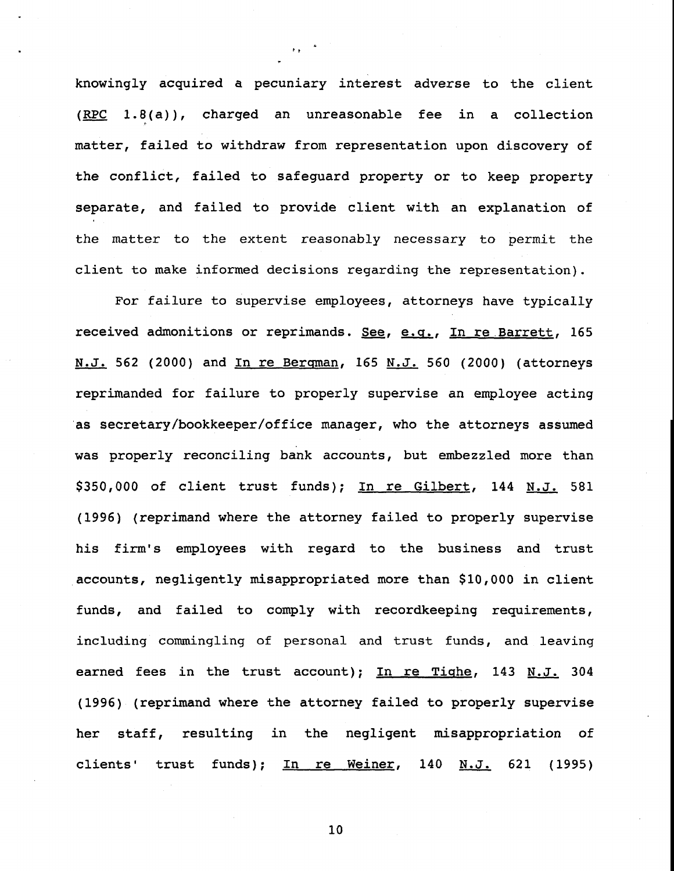knowingly acquired a pecuniary interest adverse to the client (RPC 1.8(a)), charged an unreasonable fee in a collection matter, failed to withdraw from representation upon discovery of the conflict, failed to safeguard property or to keep property separate, and failed to provide client with an explanation of the matter to the extent reasonably necessary to permit the client to make informed decisions regarding the representation).

For failure to supervise employees, attorneys have typically received admonitions or reprimands. See, e.g., In re Barrett, 165 N.J. 562 (2000) and In re Bergman, 165 N.J. 560 (2000) (attorneys reprimanded for failure to properly supervise an employee acting 'as secretary/bookkeeper/office manager, who the attorneys assumed was properly reconciling bank accounts, but embezzled more than \$350,000 of client trust funds); In re Gilbert, 144 N.J. 581 (1996) (reprimand where the attorney failed to properly supervise his firm's employees with regard to the business and trust .accounts, negligently misappropriated more than \$10,000 in client funds, and failed to comply with recordkeeping requirements, including commingling of personal and trust funds, and leaving earned fees in the trust account); In re Tighe, 143 N.J. 304 (1996) (reprimand where the attorney failed to properly supervise her staff, resulting in the negligent misappropriation of clients' trust funds); In re Weiner, 140  $N.J.$  621 (1995)

i0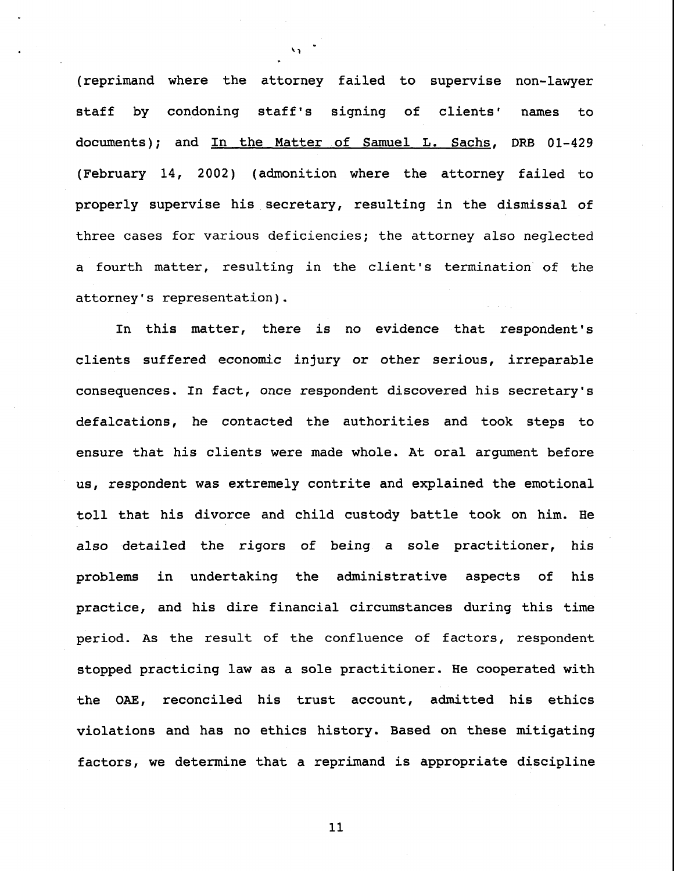(reprimand where the attorney failed to supervise non-lawyer staff by condoning staff's signing of clients' names to documents); and In the Matter of Samuel L. Sachs, DRB 01-429 (February 14, 2002) (admonition where the attorney failed to properly supervise his secretary, resulting in the dismissal of three cases for various deficiencies; the attorney also neglected a fourth matter, resulting in the client's termination of the attorney's representation).

In this matter, there is no evidence that respondent's clients suffered economic injury or other serious, irreparable consequences. In fact, once respondent discovered his secretary's defalcations, he contacted the authorities and took steps to ensure that his clients were made whole. At oral argument before us, respondent was extremely contrite and explained the emotional toll that his divorce and child custody battle took on him. He also detailed the rigors of being a sole practitioner, his problems in undertaking the administrative aspects of his practice, and his dire financial circumstances during this time period. As the result of the confluence of factors, respondent stopped practicing law as a sole practitioner. He cooperated with the OAE, reconciled his trust account, admitted his ethics violations and has no ethics history. Based on these mitigating factors, we determine that a reprimand is appropriate discipline

ii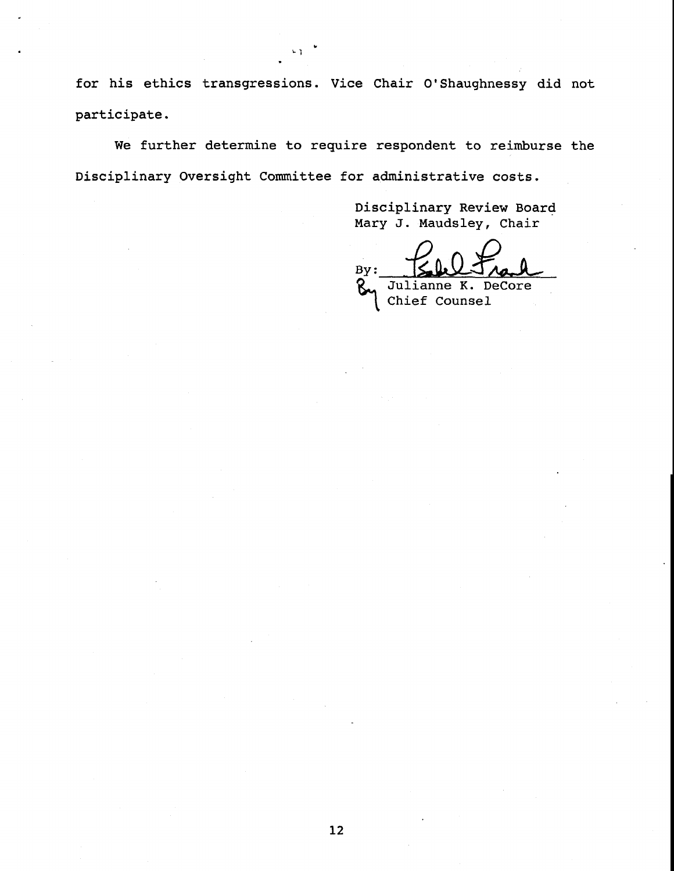for his ethics transgressions. Vice Chair O'Shaughnessy did not participate.

u y

We further determine to require respondent to reimburse the Disciplinary Oversight Committee for administrative costs.

> Disciplinary Review Board Mary J. Maudsley, Chair

**~ J**ulianne K. DeCore Chief Counsel